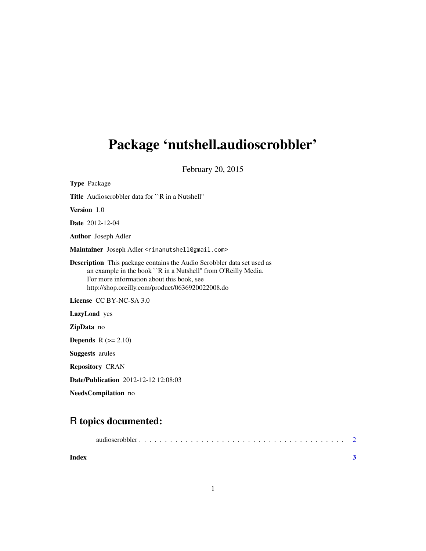# Package 'nutshell.audioscrobbler'

February 20, 2015

| <b>Type Package</b>                                                                                                                                                                                                                              |
|--------------------------------------------------------------------------------------------------------------------------------------------------------------------------------------------------------------------------------------------------|
| <b>Title</b> Audioscrobbler data for ``R in a Nutshell"                                                                                                                                                                                          |
| <b>Version</b> 1.0                                                                                                                                                                                                                               |
| <b>Date</b> 2012-12-04                                                                                                                                                                                                                           |
| <b>Author</b> Joseph Adler                                                                                                                                                                                                                       |
| Maintainer Joseph Adler <rinanutshell@gmail.com></rinanutshell@gmail.com>                                                                                                                                                                        |
| <b>Description</b> This package contains the Audio Scrobbler data set used as<br>an example in the book ``R in a Nutshell" from O'Reilly Media.<br>For more information about this book, see<br>http://shop.oreilly.com/product/0636920022008.do |
| License CC BY-NC-SA 3.0                                                                                                                                                                                                                          |
| <b>LazyLoad</b> yes                                                                                                                                                                                                                              |
| <b>ZipData</b> no                                                                                                                                                                                                                                |
| <b>Depends</b> $R (= 2.10)$                                                                                                                                                                                                                      |
| <b>Suggests</b> arules                                                                                                                                                                                                                           |
| <b>Repository CRAN</b>                                                                                                                                                                                                                           |
| <b>Date/Publication</b> 2012-12-12 12:08:03                                                                                                                                                                                                      |

NeedsCompilation no

# R topics documented:

| Index |  |
|-------|--|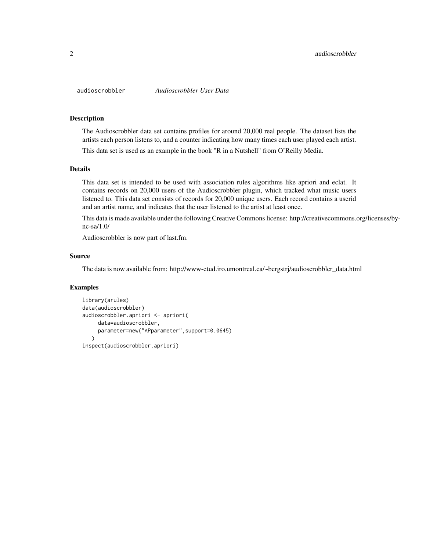<span id="page-1-0"></span>

### Description

The Audioscrobbler data set contains profiles for around 20,000 real people. The dataset lists the artists each person listens to, and a counter indicating how many times each user played each artist.

This data set is used as an example in the book "R in a Nutshell" from O'Reilly Media.

#### Details

This data set is intended to be used with association rules algorithms like apriori and eclat. It contains records on 20,000 users of the Audioscrobbler plugin, which tracked what music users listened to. This data set consists of records for 20,000 unique users. Each record contains a userid and an artist name, and indicates that the user listened to the artist at least once.

This data is made available under the following Creative Commons license: http://creativecommons.org/licenses/bync-sa/1.0/

Audioscrobbler is now part of last.fm.

## Source

The data is now available from: http://www-etud.iro.umontreal.ca/~bergstrj/audioscrobbler\_data.html

### Examples

```
library(arules)
data(audioscrobbler)
audioscrobbler.apriori <- apriori(
     data=audioscrobbler,
     parameter=new("APparameter",support=0.0645)
   \lambdainspect(audioscrobbler.apriori)
```